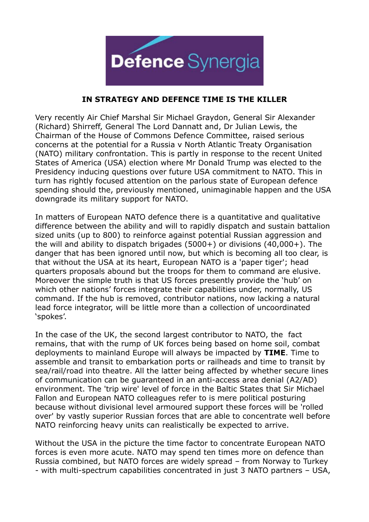

## **IN STRATEGY AND DEFENCE TIME IS THE KILLER**

Very recently Air Chief Marshal Sir Michael Graydon, General Sir Alexander (Richard) Shirreff, General The Lord Dannatt and, Dr Julian Lewis, the Chairman of the House of Commons Defence Committee, raised serious concerns at the potential for a Russia v North Atlantic Treaty Organisation (NATO) military confrontation. This is partly in response to the recent United States of America (USA) election where Mr Donald Trump was elected to the Presidency inducing questions over future USA commitment to NATO. This in turn has rightly focused attention on the parlous state of European defence spending should the, previously mentioned, unimaginable happen and the USA downgrade its military support for NATO.

In matters of European NATO defence there is a quantitative and qualitative difference between the ability and will to rapidly dispatch and sustain battalion sized units (up to 800) to reinforce against potential Russian aggression and the will and ability to dispatch brigades (5000+) or divisions (40,000+). The danger that has been ignored until now, but which is becoming all too clear, is that without the USA at its heart, European NATO is a 'paper tiger'; head quarters proposals abound but the troops for them to command are elusive. Moreover the simple truth is that US forces presently provide the 'hub' on which other nations' forces integrate their capabilities under, normally, US command. If the hub is removed, contributor nations, now lacking a natural lead force integrator, will be little more than a collection of uncoordinated 'spokes'.

In the case of the UK, the second largest contributor to NATO, the fact remains, that with the rump of UK forces being based on home soil, combat deployments to mainland Europe will always be impacted by **TIME**. Time to assemble and transit to embarkation ports or railheads and time to transit by sea/rail/road into theatre. All the latter being affected by whether secure lines of communication can be guaranteed in an anti-access area denial (A2/AD) environment. The 'trip wire' level of force in the Baltic States that Sir Michael Fallon and European NATO colleagues refer to is mere political posturing because without divisional level armoured support these forces will be 'rolled over' by vastly superior Russian forces that are able to concentrate well before NATO reinforcing heavy units can realistically be expected to arrive.

Without the USA in the picture the time factor to concentrate European NATO forces is even more acute. NATO may spend ten times more on defence than Russia combined, but NATO forces are widely spread – from Norway to Turkey - with multi-spectrum capabilities concentrated in just 3 NATO partners – USA,